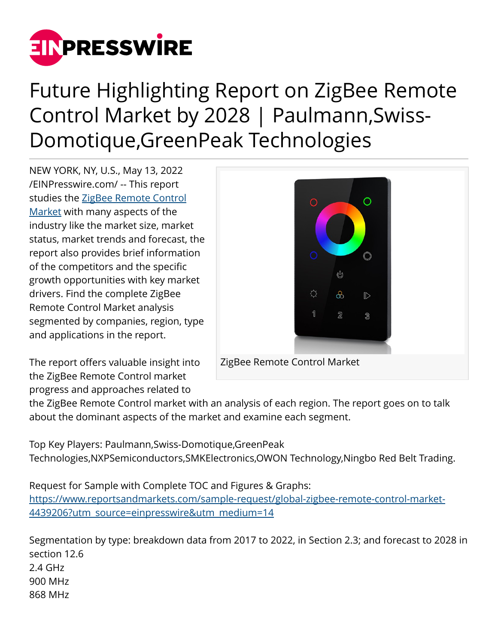

## Future Highlighting Report on ZigBee Remote Control Market by 2028 | Paulmann,Swiss-Domotique,GreenPeak Technologies

NEW YORK, NY, U.S., May 13, 2022 [/EINPresswire.com/](http://www.einpresswire.com) -- This report studies the [ZigBee Remote Control](https://www.reportsandmarkets.com/reports/global-zigbee-remote-control-market-4439206?utm_source=einpresswire&utm_medium=14) [Market](https://www.reportsandmarkets.com/reports/global-zigbee-remote-control-market-4439206?utm_source=einpresswire&utm_medium=14) with many aspects of the industry like the market size, market status, market trends and forecast, the report also provides brief information of the competitors and the specific growth opportunities with key market drivers. Find the complete ZigBee Remote Control Market analysis segmented by companies, region, type and applications in the report.



The report offers valuable insight into the ZigBee Remote Control market progress and approaches related to

the ZigBee Remote Control market with an analysis of each region. The report goes on to talk about the dominant aspects of the market and examine each segment.

Top Key Players: Paulmann,Swiss-Domotique,GreenPeak

Technologies,NXPSemiconductors,SMKElectronics,OWON Technology,Ningbo Red Belt Trading.

Request for Sample with Complete TOC and Figures & Graphs: [https://www.reportsandmarkets.com/sample-request/global-zigbee-remote-control-market-](https://www.reportsandmarkets.com/sample-request/global-zigbee-remote-control-market-4439206?utm_source=einpresswire&utm_medium=14)[4439206?utm\\_source=einpresswire&utm\\_medium=14](https://www.reportsandmarkets.com/sample-request/global-zigbee-remote-control-market-4439206?utm_source=einpresswire&utm_medium=14)

Segmentation by type: breakdown data from 2017 to 2022, in Section 2.3; and forecast to 2028 in section 12.6 2.4 GHz 900 MHz 868 MHz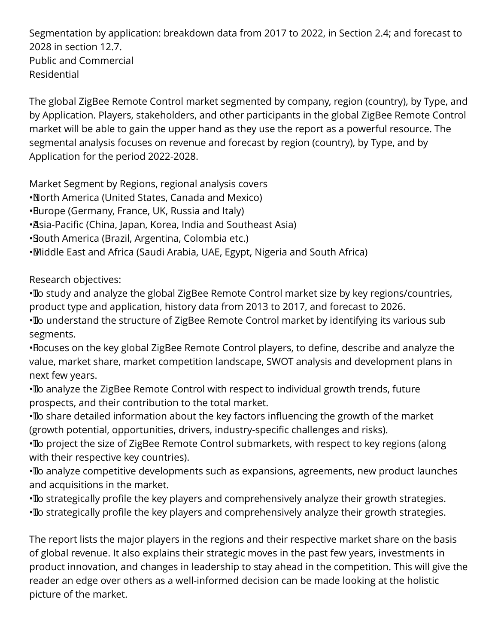Segmentation by application: breakdown data from 2017 to 2022, in Section 2.4; and forecast to 2028 in section 12.7. Public and Commercial Residential

The global ZigBee Remote Control market segmented by company, region (country), by Type, and by Application. Players, stakeholders, and other participants in the global ZigBee Remote Control market will be able to gain the upper hand as they use the report as a powerful resource. The segmental analysis focuses on revenue and forecast by region (country), by Type, and by Application for the period 2022-2028.

Market Segment by Regions, regional analysis covers

- • North America (United States, Canada and Mexico)
- Burope (Germany, France, UK, Russia and Italy)
- Asia-Pacific (China, Japan, Korea, India and Southeast Asia)
- • South America (Brazil, Argentina, Colombia etc.)
- • Middle East and Africa (Saudi Arabia, UAE, Egypt, Nigeria and South Africa)

Research objectives:

• To study and analyze the global ZigBee Remote Control market size by key regions/countries, product type and application, history data from 2013 to 2017, and forecast to 2026.

• To understand the structure of ZigBee Remote Control market by identifying its various sub segments.

• Focuses on the key global ZigBee Remote Control players, to define, describe and analyze the value, market share, market competition landscape, SWOT analysis and development plans in next few years.

• To analyze the ZigBee Remote Control with respect to individual growth trends, future prospects, and their contribution to the total market.

• To share detailed information about the key factors influencing the growth of the market (growth potential, opportunities, drivers, industry-specific challenges and risks).

• To project the size of ZigBee Remote Control submarkets, with respect to key regions (along with their respective key countries).

• To analyze competitive developments such as expansions, agreements, new product launches and acquisitions in the market.

• To strategically profile the key players and comprehensively analyze their growth strategies. • To strategically profile the key players and comprehensively analyze their growth strategies.

The report lists the major players in the regions and their respective market share on the basis of global revenue. It also explains their strategic moves in the past few years, investments in product innovation, and changes in leadership to stay ahead in the competition. This will give the reader an edge over others as a well-informed decision can be made looking at the holistic picture of the market.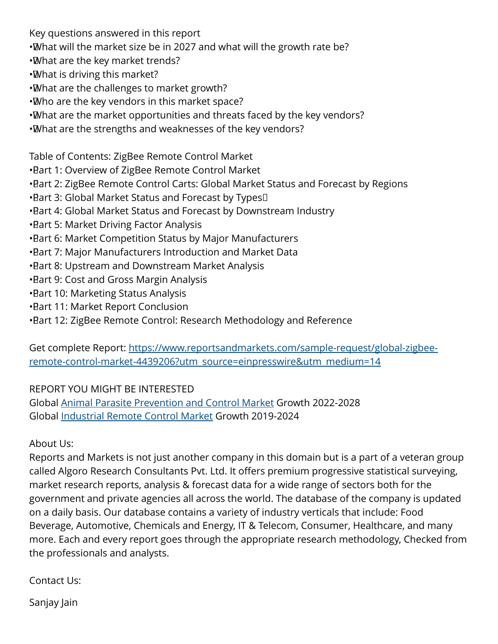Key questions answered in this report

- •What will the market size be in 2027 and what will the growth rate be?
- • What are the key market trends?
- • What is driving this market?
- • What are the challenges to market growth?
- • Who are the key vendors in this market space?
- • What are the market opportunities and threats faced by the key vendors?
- • What are the strengths and weaknesses of the key vendors?

Table of Contents: ZigBee Remote Control Market

- • Part 1: Overview of ZigBee Remote Control Market
- Bart 2: ZigBee Remote Control Carts: Global Market Status and Forecast by Regions
- Bart 3: Global Market Status and Forecast by Types<sup>[]</sup>
- Bart 4: Global Market Status and Forecast by Downstream Industry
- **Bart 5: Market Driving Factor Analysis**
- Bart 6: Market Competition Status by Major Manufacturers
- Bart 7: Major Manufacturers Introduction and Market Data
- **Bart 8: Upstream and Downstream Market Analysis**
- **Bart 9: Cost and Gross Margin Analysis**
- **Bart 10: Marketing Status Analysis**
- • Part 11: Market Report Conclusion
- Bart 12: ZigBee Remote Control: Research Methodology and Reference

Get complete Report: [https://www.reportsandmarkets.com/sample-request/global-zigbee](https://www.reportsandmarkets.com/sample-request/global-zigbee-remote-control-market-4439206?utm_source=einpresswire&utm_medium=14)[remote-control-market-4439206?utm\\_source=einpresswire&utm\\_medium=14](https://www.reportsandmarkets.com/sample-request/global-zigbee-remote-control-market-4439206?utm_source=einpresswire&utm_medium=14)

## REPORT YOU MIGHT BE INTERESTED

Global [Animal Parasite Prevention and Control Market](https://www.reportsandmarkets.com/reports/global-animal-parasite-prevention-and-control-market-4370593?utm_source=einpresswire&utm_medium=14) Growth 2022-2028 Global [Industrial Remote Control Market](https://www.reportsandmarkets.com/reports/global-industrial-remote-control-market-3571966?utm_source=einpresswire&utm_medium=14) Growth 2019-2024

## About Us:

Reports and Markets is not just another company in this domain but is a part of a veteran group called Algoro Research Consultants Pvt. Ltd. It offers premium progressive statistical surveying, market research reports, analysis & forecast data for a wide range of sectors both for the government and private agencies all across the world. The database of the company is updated on a daily basis. Our database contains a variety of industry verticals that include: Food Beverage, Automotive, Chemicals and Energy, IT & Telecom, Consumer, Healthcare, and many more. Each and every report goes through the appropriate research methodology, Checked from the professionals and analysts.

Contact Us:

Sanjay Jain